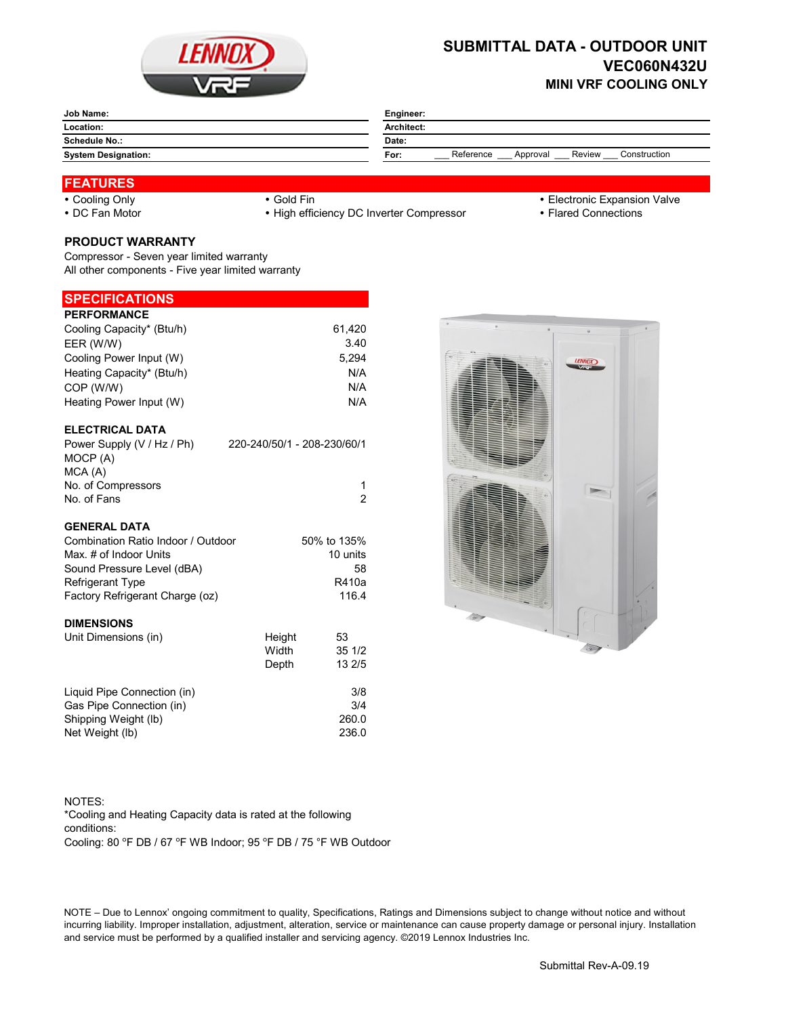

# **SUBMITTAL DATA - OUTDOOR UNIT VEC060N432U MINI VRF COOLING ONLY**

| <b>Job Name:</b>           | Engineer:                                               |  |  |
|----------------------------|---------------------------------------------------------|--|--|
| Location:                  | <b>Architect:</b>                                       |  |  |
| Schedule No.:              | Date:                                                   |  |  |
| <b>System Designation:</b> | Reference<br>Construction<br>Review<br>For:<br>Approval |  |  |

#### **FEATURES**

• DC Fan Motor **Connections** • High efficiency DC Inverter Compressor **Flared Connections** 

- Cooling Only **Cooling Only Gold Fin Cooling Only Electronic Expansion Valve** 
	-

## **PRODUCT WARRANTY**

Compressor - Seven year limited warranty All other components - Five year limited warranty

### **SPECIFICATIONS**

| <b>PERFORMANCE</b>                     |                             |             |
|----------------------------------------|-----------------------------|-------------|
| Cooling Capacity* (Btu/h)              |                             | 61,420      |
| EER (W/W)                              |                             | 3.40        |
| Cooling Power Input (W)                |                             | 5,294       |
| Heating Capacity* (Btu/h)              |                             | N/A         |
| COP (W/W)                              |                             | N/A         |
| Heating Power Input (W)                |                             | N/A         |
| <b>ELECTRICAL DATA</b>                 |                             |             |
| Power Supply (V / Hz / Ph)<br>MOCP (A) | 220-240/50/1 - 208-230/60/1 |             |
| MCA(A)                                 |                             |             |
| No. of Compressors                     |                             | 1           |
| No. of Fans                            |                             | 2           |
| <b>GENERAL DATA</b>                    |                             |             |
| Combination Ratio Indoor / Outdoor     |                             | 50% to 135% |
| Max. # of Indoor Units                 |                             | 10 units    |
| Sound Pressure Level (dBA)             |                             | 58          |
| <b>Refrigerant Type</b>                |                             | R410a       |
| Factory Refrigerant Charge (oz)        |                             | 116.4       |
| <b>DIMENSIONS</b>                      |                             |             |
| Unit Dimensions (in)                   | Height                      | 53          |
|                                        | Width                       | 351/2       |
|                                        | Depth                       | 13 2/5      |
| Liquid Pipe Connection (in)            |                             | 3/8         |



NOTES: Cooling: 80 °F DB / 67 °F WB Indoor; 95 °F DB / 75 °F WB Outdoor \*Cooling and Heating Capacity data is rated at the following conditions:

Gas Pipe Connection (in) 3/4 Shipping Weight (lb) 260.0 Net Weight (lb) 236.0

NOTE – Due to Lennox' ongoing commitment to quality, Specifications, Ratings and Dimensions subject to change without notice and without incurring liability. Improper installation, adjustment, alteration, service or maintenance can cause property damage or personal injury. Installation and service must be performed by a qualified installer and servicing agency. ©2019 Lennox Industries Inc.